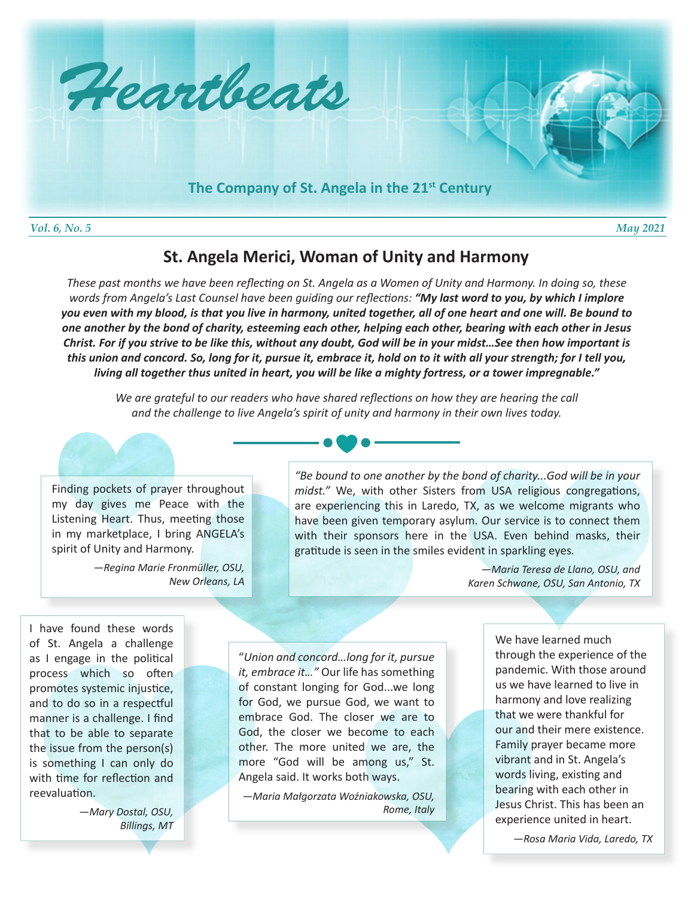

## **St. Angela Merici, Woman of Unity and Harmony**

*These past months we have been reflecting on St. Angela as a Women of Unity and Harmony. In doing so, these words from Angela's Last Counsel have been guiding our reflections: "My last word to you, by which I implore you even with my blood, is that you live in harmony, united together, all of one heart and one will. Be bound to one another by the bond of charity, esteeming each other, helping each other, bearing with each other in Jesus Christ. For if you strive to be like this, without any doubt, God will be in your midst…See then how important is this union and concord. So, long for it, pursue it, embrace it, hold on to it with all your strength; for I tell you, living all together thus united in heart, you will be like a mighty fortress, or a tower impregnable."*

*We are grateful to our readers who have shared reflections on how they are hearing the call and the challenge to live Angela's spirit of unity and harmony in their own lives today.*



*—Regina Marie Fronmüller, OSU, New Orleans, LA*



*"Be bound to one another by the bond of charity...God will be in your midst."* We, with other Sisters from USA religious congregations, are experiencing this in Laredo, TX, as we welcome migrants who have been given temporary asylum. Our service is to connect them with their sponsors here in the USA. Even behind masks, their gratitude is seen in the smiles evident in sparkling eyes*.*

> *—Maria Teresa de Llano, OSU, and Karen Schwane, OSU, San Antonio, TX*

I have found these words of St. Angela a challenge as I engage in the political process which so often promotes systemic injustice, and to do so in a respectful manner is a challenge. I find that to be able to separate the issue from the person(s) is something I can only do with time for reflection and reevaluation.

> *—Mary Dostal, OSU, Billings, MT*

"*Union and concord…long for it, pursue it, embrace it…"* Our life has something of constant longing for God...we long for God, we pursue God, we want to embrace God. The closer we are to God, the closer we become to each other. The more united we are, the more "God will be among us," St. Angela said. It works both ways.

*—Maria Małgorzata Woźniakowska, OSU, Rome, Italy*

We have learned much through the experience of the pandemic. With those around us we have learned to live in harmony and love realizing that we were thankful for our and their mere existence. Family prayer became more vibrant and in St. Angela's words living, existing and bearing with each other in Jesus Christ. This has been an experience united in heart.

*—Rosa Maria Vida, Laredo, TX*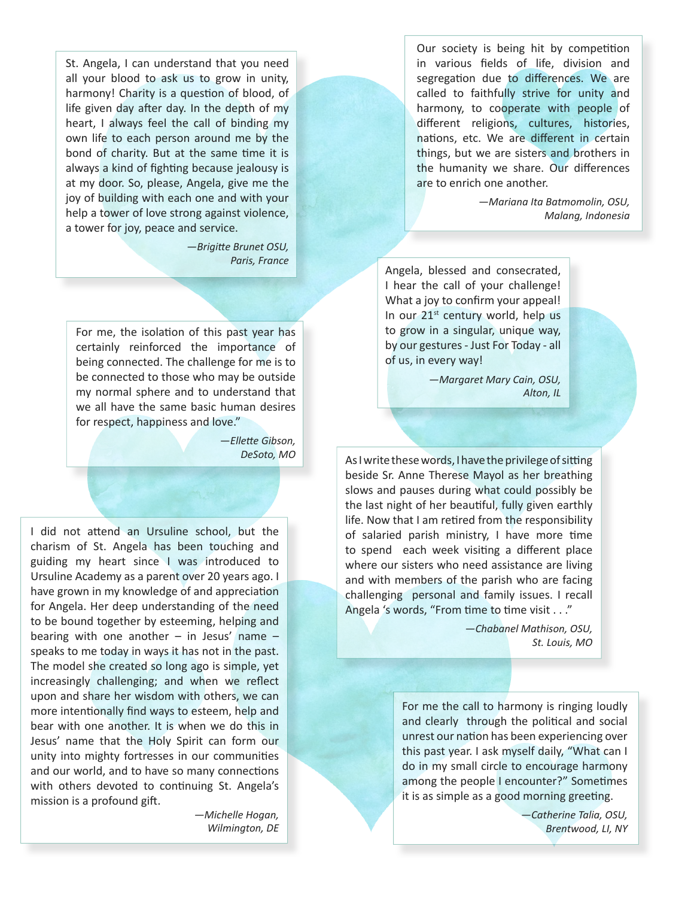St. Angela, I can understand that you need all your blood to ask us to grow in unity, harmony! Charity is a question of blood, of life given day after day. In the depth of my heart, I always feel the call of binding my own life to each person around me by the bond of charity. But at the same time it is always a kind of fighting because jealousy is at my door. So, please, Angela, give me the joy of building with each one and with your help a tower of love strong against violence, a tower for joy, peace and service.

> *—Brigitte Brunet OSU, Paris, France*

For me, the isolation of this past year has certainly reinforced the importance of being connected. The challenge for me is to be connected to those who may be outside my normal sphere and to understand that we all have the same basic human desires for respect, happiness and love."

> *—Ellette Gibson, DeSoto, MO*

I did not attend an Ursuline school, but the charism of St. Angela has been touching and guiding my heart since I was introduced to Ursuline Academy as a parent over 20 years ago. I have grown in my knowledge of and appreciation for Angela. Her deep understanding of the need to be bound together by esteeming, helping and bearing with one another  $-$  in Jesus' name  $$ speaks to me today in ways it has not in the past. The model she created so long ago is simple, yet increasingly challenging; and when we reflect upon and share her wisdom with others, we can more intentionally find ways to esteem, help and bear with one another. It is when we do this in Jesus' name that the Holy Spirit can form our unity into mighty fortresses in our communities and our world, and to have so many connections with others devoted to continuing St. Angela's mission is a profound gift.

> *—Michelle Hogan, Wilmington, DE*

Our society is being hit by competition in various fields of life, division and segregation due to differences. We are called to faithfully strive for unity and harmony, to cooperate with people of different religions, cultures, histories, nations, etc. We are different in certain things, but we are sisters and brothers in the humanity we share. Our differences are to enrich one another.

> *—Mariana Ita Batmomolin, OSU, Malang, Indonesia*

Angela, blessed and consecrated, I hear the call of your challenge! What a joy to confirm your appeal! In our 21<sup>st</sup> century world, help us to grow in a singular, unique way, by our gestures - Just For Today - all of us, in every way!

> *—Margaret Mary Cain, OSU, Alton, IL*

As I write these words, I have the privilege of sitting beside Sr. Anne Therese Mayol as her breathing slows and pauses during what could possibly be the last night of her beautiful, fully given earthly life. Now that I am retired from the responsibility of salaried parish ministry, I have more time to spend each week visiting a different place where our sisters who need assistance are living and with members of the parish who are facing challenging personal and family issues. I recall Angela 's words, "From time to time visit . . ."

> *—Chabanel Mathison, OSU, St. Louis, MO*

For me the call to harmony is ringing loudly and clearly through the political and social unrest our nation has been experiencing over this past year. I ask myself daily, "What can I do in my small circle to encourage harmony among the people I encounter?" Sometimes it is as simple as a good morning greeting.

> *—Catherine Talia, OSU, Brentwood, LI, NY*